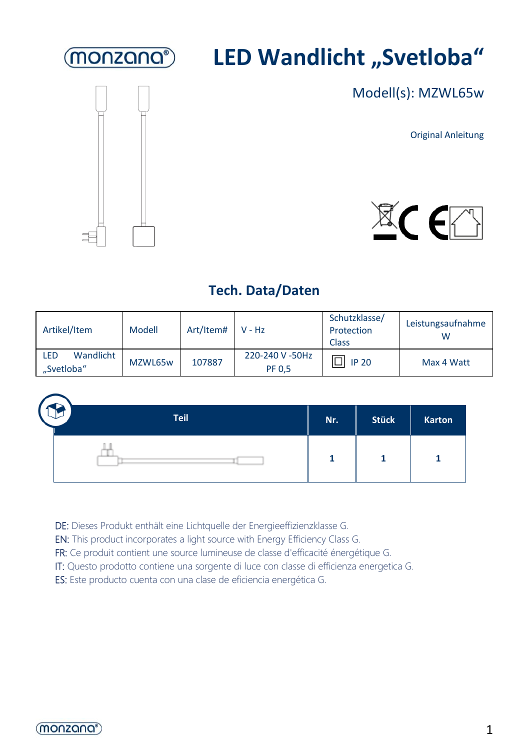

# **LED Wandlicht "Svetloba"**



Modell(s): MZWL65w

Original Anleitung



### **Tech. Data/Daten**

| Artikel/Item                   | Modell  | Art/Item# V - Hz |                           | Schutzklasse/<br>Protection<br><b>Class</b> | Leistungsaufnahme<br>w |
|--------------------------------|---------|------------------|---------------------------|---------------------------------------------|------------------------|
| Wandlicht<br>LED<br>"Svetloba" | MZWL65w | 107887           | 220-240 V -50Hz<br>PF 0.5 | <b>IP 20</b>                                | Max 4 Watt             |



DE: Dieses Produkt enthält eine Lichtquelle der Energieeffizienzklasse G.

EN: This product incorporates a light source with Energy Efficiency Class G.

FR: Ce produit contient une source lumineuse de classe d'efficacité énergétique G.

IT: Questo prodotto contiene una sorgente di luce con classe di efficienza energetica G.

ES: Este producto cuenta con una clase de eficiencia energética G.

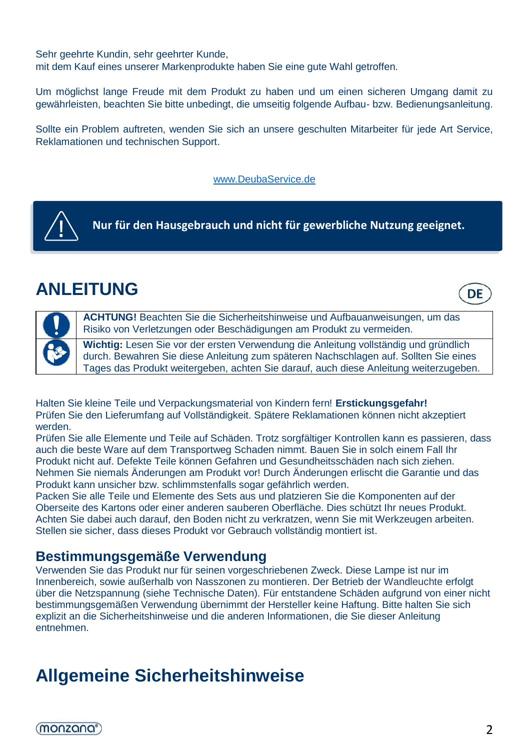Sehr geehrte Kundin, sehr geehrter Kunde, mit dem Kauf eines unserer Markenprodukte haben Sie eine gute Wahl getroffen.

Um möglichst lange Freude mit dem Produkt zu haben und um einen sicheren Umgang damit zu gewährleisten, beachten Sie bitte unbedingt, die umseitig folgende Aufbau- bzw. Bedienungsanleitung.

Sollte ein Problem auftreten, wenden Sie sich an unsere geschulten Mitarbeiter für jede Art Service, Reklamationen und technischen Support.

#### [www.DeubaService.de](http://www.deubaservice.de/)



**Nur für den Hausgebrauch und nicht für gewerbliche Nutzung geeignet.**

# **ANLEITUNG**



**ACHTUNG!** Beachten Sie die Sicherheitshinweise und Aufbauanweisungen, um das Risiko von Verletzungen oder Beschädigungen am Produkt zu vermeiden.

**Wichtig:** Lesen Sie vor der ersten Verwendung die Anleitung vollständig und gründlich durch. Bewahren Sie diese Anleitung zum späteren Nachschlagen auf. Sollten Sie eines Tages das Produkt weitergeben, achten Sie darauf, auch diese Anleitung weiterzugeben.

Halten Sie kleine Teile und Verpackungsmaterial von Kindern fern! **Erstickungsgefahr!** Prüfen Sie den Lieferumfang auf Vollständigkeit. Spätere Reklamationen können nicht akzeptiert werden.

Prüfen Sie alle Elemente und Teile auf Schäden. Trotz sorgfältiger Kontrollen kann es passieren, dass auch die beste Ware auf dem Transportweg Schaden nimmt. Bauen Sie in solch einem Fall Ihr Produkt nicht auf. Defekte Teile können Gefahren und Gesundheitsschäden nach sich ziehen. Nehmen Sie niemals Änderungen am Produkt vor! Durch Änderungen erlischt die Garantie und das Produkt kann unsicher bzw. schlimmstenfalls sogar gefährlich werden.

Packen Sie alle Teile und Elemente des Sets aus und platzieren Sie die Komponenten auf der Oberseite des Kartons oder einer anderen sauberen Oberfläche. Dies schützt Ihr neues Produkt. Achten Sie dabei auch darauf, den Boden nicht zu verkratzen, wenn Sie mit Werkzeugen arbeiten. Stellen sie sicher, dass dieses Produkt vor Gebrauch vollständig montiert ist.

#### **Bestimmungsgemäße Verwendung**

Verwenden Sie das Produkt nur für seinen vorgeschriebenen Zweck. Diese Lampe ist nur im Innenbereich, sowie außerhalb von Nasszonen zu montieren. Der Betrieb der Wandleuchte erfolgt über die Netzspannung (siehe Technische Daten). Für entstandene Schäden aufgrund von einer nicht bestimmungsgemäßen Verwendung übernimmt der Hersteller keine Haftung. Bitte halten Sie sich explizit an die Sicherheitshinweise und die anderen Informationen, die Sie dieser Anleitung entnehmen.

# **Allgemeine Sicherheitshinweise**

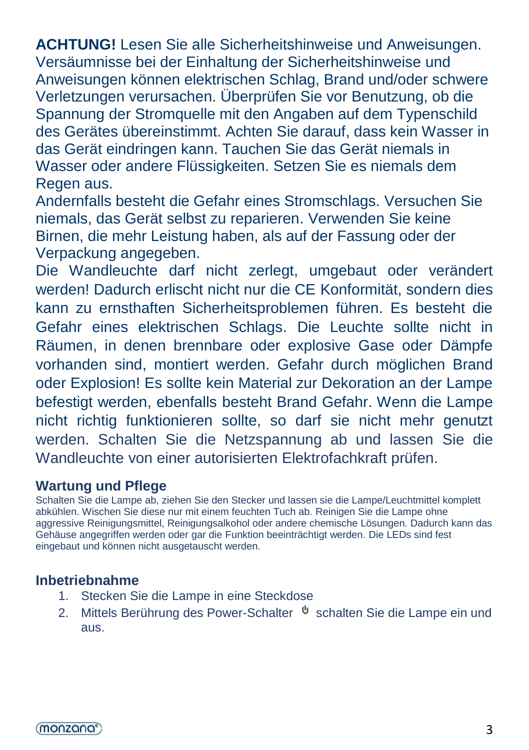**ACHTUNG!** Lesen Sie alle Sicherheitshinweise und Anweisungen. Versäumnisse bei der Einhaltung der Sicherheitshinweise und Anweisungen können elektrischen Schlag, Brand und/oder schwere Verletzungen verursachen. Überprüfen Sie vor Benutzung, ob die Spannung der Stromquelle mit den Angaben auf dem Typenschild des Gerätes übereinstimmt. Achten Sie darauf, dass kein Wasser in das Gerät eindringen kann. Tauchen Sie das Gerät niemals in Wasser oder andere Flüssigkeiten. Setzen Sie es niemals dem Regen aus.

Andernfalls besteht die Gefahr eines Stromschlags. Versuchen Sie niemals, das Gerät selbst zu reparieren. Verwenden Sie keine Birnen, die mehr Leistung haben, als auf der Fassung oder der Verpackung angegeben.

Die Wandleuchte darf nicht zerlegt, umgebaut oder verändert werden! Dadurch erlischt nicht nur die CE Konformität, sondern dies kann zu ernsthaften Sicherheitsproblemen führen. Es besteht die Gefahr eines elektrischen Schlags. Die Leuchte sollte nicht in Räumen, in denen brennbare oder explosive Gase oder Dämpfe vorhanden sind, montiert werden. Gefahr durch möglichen Brand oder Explosion! Es sollte kein Material zur Dekoration an der Lampe befestigt werden, ebenfalls besteht Brand Gefahr. Wenn die Lampe nicht richtig funktionieren sollte, so darf sie nicht mehr genutzt werden. Schalten Sie die Netzspannung ab und lassen Sie die Wandleuchte von einer autorisierten Elektrofachkraft prüfen.

#### **Wartung und Pflege**

Schalten Sie die Lampe ab, ziehen Sie den Stecker und lassen sie die Lampe/Leuchtmittel komplett abkühlen. Wischen Sie diese nur mit einem feuchten Tuch ab. Reinigen Sie die Lampe ohne aggressive Reinigungsmittel, Reinigungsalkohol oder andere chemische Lösungen. Dadurch kann das Gehäuse angegriffen werden oder gar die Funktion beeinträchtigt werden. Die LEDs sind fest eingebaut und können nicht ausgetauscht werden.

### **Inbetriebnahme**

- 1. Stecken Sie die Lampe in eine Steckdose
- 2. Mittels Berührung des Power-Schalter  $\psi$  schalten Sie die Lampe ein und aus.

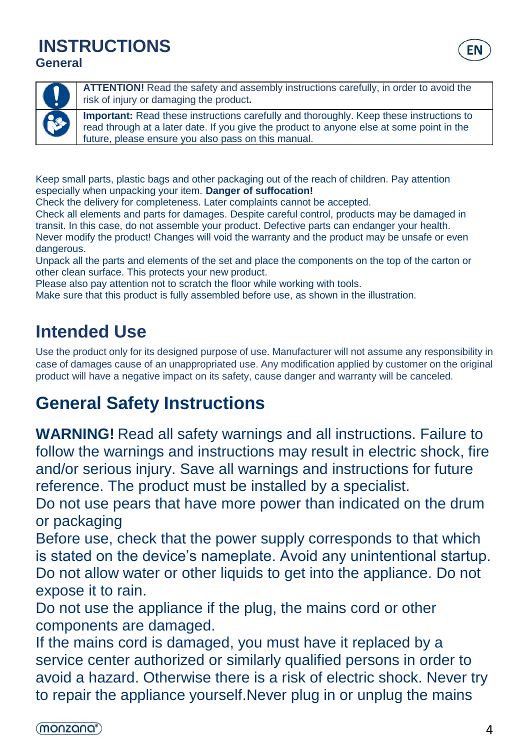### **INSTRUCTIONS General**



**ATTENTION!** Read the safety and assembly instructions carefully, in order to avoid the risk of injury or damaging the product**.**

**Important:** Read these instructions carefully and thoroughly. Keep these instructions to read through at a later date. If you give the product to anyone else at some point in the future, please ensure you also pass on this manual.

Keep small parts, plastic bags and other packaging out of the reach of children. Pay attention especially when unpacking your item. **Danger of suffocation!**

Check the delivery for completeness. Later complaints cannot be accepted.

Check all elements and parts for damages. Despite careful control, products may be damaged in transit. In this case, do not assemble your product. Defective parts can endanger your health. Never modify the product! Changes will void the warranty and the product may be unsafe or even dangerous.

Unpack all the parts and elements of the set and place the components on the top of the carton or other clean surface. This protects your new product.

Please also pay attention not to scratch the floor while working with tools.

Make sure that this product is fully assembled before use, as shown in the illustration.

# **Intended Use**

Use the product only for its designed purpose of use. Manufacturer will not assume any responsibility in case of damages cause of an unappropriated use. Any modification applied by customer on the original product will have a negative impact on its safety, cause danger and warranty will be canceled.

# **General Safety Instructions**

**WARNING!** Read all safety warnings and all instructions. Failure to follow the warnings and instructions may result in electric shock, fire and/or serious injury. Save all warnings and instructions for future reference. [The](https://de.pons.com/%C3%BCbersetzung/englisch-deutsch/The) [product](https://de.pons.com/%C3%BCbersetzung/englisch-deutsch/product) [must](https://de.pons.com/%C3%BCbersetzung/englisch-deutsch/must) [be](https://de.pons.com/%C3%BCbersetzung/englisch-deutsch/be) [installed](https://de.pons.com/%C3%BCbersetzung/englisch-deutsch/installed) [by](https://de.pons.com/%C3%BCbersetzung/englisch-deutsch/by) [a](https://de.pons.com/%C3%BCbersetzung/englisch-deutsch/a) [specialist.](https://de.pons.com/%C3%BCbersetzung/englisch-deutsch/specialist)

Do not use pears that have more power than indicated on the drum or packaging

Before use, check that the power supply corresponds to that which is stated on the device's nameplate. Avoid any unintentional startup. Do not allow water or other liquids to get into the appliance. Do not expose it to rain.

Do not use the appliance if the plug, the mains cord or other components are damaged.

If the mains cord is damaged, you must have it replaced by a service center authorized or similarly qualified persons in order to avoid a hazard. Otherwise there is a risk of electric shock. Never try to repair the appliance yourself.Never plug in or unplug the mains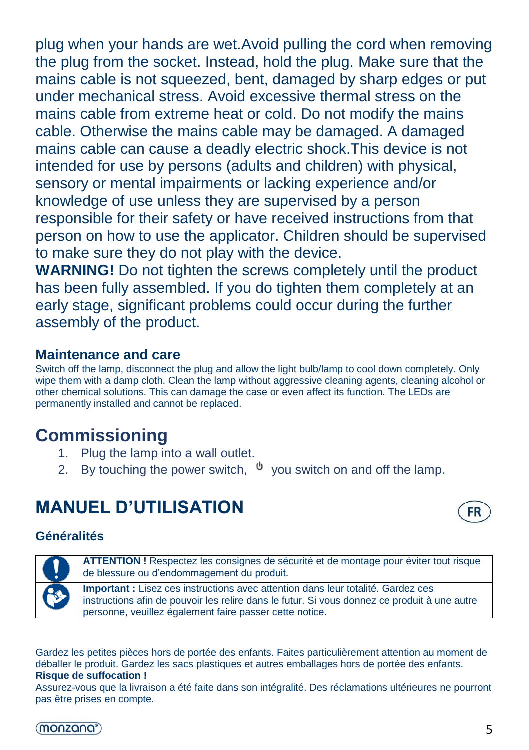plug when your hands are wet.Avoid pulling the cord when removing the plug from the socket. Instead, hold the plug. Make sure that the mains cable is not squeezed, bent, damaged by sharp edges or put under mechanical stress. Avoid excessive thermal stress on the mains cable from extreme heat or cold. Do not modify the mains cable. Otherwise the mains cable may be damaged. A damaged mains cable can cause a deadly electric shock.This device is not intended for use by persons (adults and children) with physical, sensory or mental impairments or lacking experience and/or knowledge of use unless they are supervised by a person responsible for their safety or have received instructions from that person on how to use the applicator. Children should be supervised to make sure they do not play with the device.

**WARNING!** Do not tighten the screws completely until the product has been fully assembled. If you do tighten them completely at an early stage, significant problems could occur during the further assembly of the product.

#### **Maintenance and care**

Switch off the lamp, disconnect the plug and allow the light bulb/lamp to cool down completely. Only wipe them with a damp cloth. Clean the lamp without aggressive cleaning agents, cleaning alcohol or other chemical solutions. This can damage the case or even affect its function. The LEDs are permanently installed and cannot be replaced.

# **Commissioning**

- 1. Plug the lamp into a wall outlet.
- 2. By touching the power switch,  $\psi$  vou switch on and off the lamp.

# **MANUEL D'UTILISATION**

#### **Généralités**

**ATTENTION !** Respectez les consignes de sécurité et de montage pour éviter tout risque de blessure ou d'endommagement du produit. **Important :** Lisez ces instructions avec attention dans leur totalité. Gardez ces

instructions afin de pouvoir les relire dans le futur. Si vous donnez ce produit à une autre personne, veuillez également faire passer cette notice.

Gardez les petites pièces hors de portée des enfants. Faites particulièrement attention au moment de déballer le produit. Gardez les sacs plastiques et autres emballages hors de portée des enfants. **Risque de suffocation !**

Assurez-vous que la livraison a été faite dans son intégralité. Des réclamations ultérieures ne pourront pas être prises en compte.

#### (MONZQUO®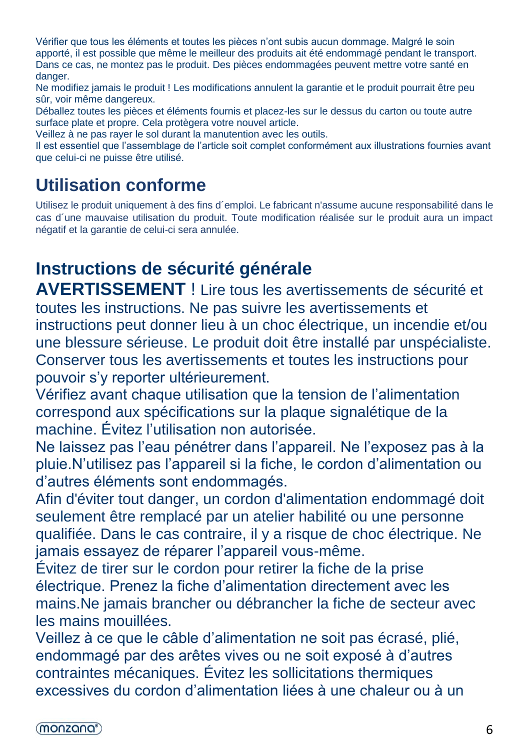Vérifier que tous les éléments et toutes les pièces n'ont subis aucun dommage. Malgré le soin apporté, il est possible que même le meilleur des produits ait été endommagé pendant le transport. Dans ce cas, ne montez pas le produit. Des pièces endommagées peuvent mettre votre santé en danger.

Ne modifiez jamais le produit ! Les modifications annulent la garantie et le produit pourrait être peu sûr, voir même dangereux.

Déballez toutes les pièces et éléments fournis et placez-les sur le dessus du carton ou toute autre surface plate et propre. Cela protègera votre nouvel article.

Veillez à ne pas rayer le sol durant la manutention avec les outils.

Il est essentiel que l'assemblage de l'article soit complet conformément aux illustrations fournies avant que celui-ci ne puisse être utilisé.

# **Utilisation conforme**

Utilisez le produit uniquement à des fins d´emploi. Le fabricant n'assume aucune responsabilité dans le cas d´une mauvaise utilisation du produit. Toute modification réalisée sur le produit aura un impact négatif et la garantie de celui-ci sera annulée.

# **Instructions de sécurité générale**

**AVERTISSEMENT** ! Lire tous les avertissements de sécurité et toutes les instructions. Ne pas suivre les avertissements et instructions peut donner lieu à un choc électrique, un incendie et/ou une blessure sérieuse. [Le](https://de.pons.com/%C3%BCbersetzung/franz%C3%B6sisch-deutsch/Le) [produit](https://de.pons.com/%C3%BCbersetzung/franz%C3%B6sisch-deutsch/produit) [doit](https://de.pons.com/%C3%BCbersetzung/franz%C3%B6sisch-deutsch/doit) [être](https://de.pons.com/%C3%BCbersetzung/franz%C3%B6sisch-deutsch/%C3%AAtre) [installé](https://de.pons.com/%C3%BCbersetzung/franz%C3%B6sisch-deutsch/install%C3%A9) [par](https://de.pons.com/%C3%BCbersetzung/franz%C3%B6sisch-deutsch/par) [unspécialiste.](https://de.pons.com/%C3%BCbersetzung/franz%C3%B6sisch-deutsch/un) Conserver tous les avertissements et toutes les instructions pour pouvoir s'y reporter ultérieurement.

Vérifiez avant chaque utilisation que la tension de l'alimentation correspond aux spécifications sur la plaque signalétique de la machine. Évitez l'utilisation non autorisée.

Ne laissez pas l'eau pénétrer dans l'appareil. Ne l'exposez pas à la pluie.N'utilisez pas l'appareil si la fiche, le cordon d'alimentation ou d'autres éléments sont endommagés.

Afin d'éviter tout danger, un cordon d'alimentation endommagé doit seulement être remplacé par un atelier habilité ou une personne qualifiée. Dans le cas contraire, il y a risque de choc électrique. Ne jamais essayez de réparer l'appareil vous-même.

Évitez de tirer sur le cordon pour retirer la fiche de la prise électrique. Prenez la fiche d'alimentation directement avec les mains.Ne jamais brancher ou débrancher la fiche de secteur avec les mains mouillées.

Veillez à ce que le câble d'alimentation ne soit pas écrasé, plié, endommagé par des arêtes vives ou ne soit exposé à d'autres contraintes mécaniques. Évitez les sollicitations thermiques excessives du cordon d'alimentation liées à une chaleur ou à un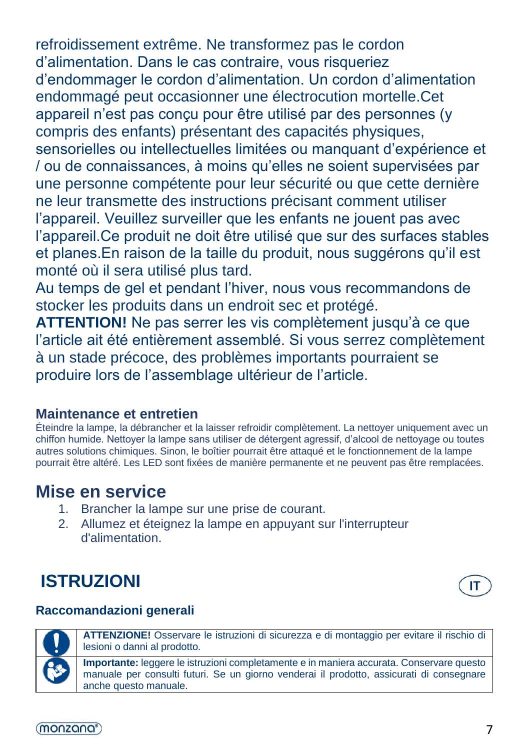refroidissement extrême. Ne transformez pas le cordon d'alimentation. Dans le cas contraire, vous risqueriez d'endommager le cordon d'alimentation. Un cordon d'alimentation endommagé peut occasionner une électrocution mortelle.Cet appareil n'est pas conçu pour être utilisé par des personnes (y compris des enfants) présentant des capacités physiques, sensorielles ou intellectuelles limitées ou manquant d'expérience et / ou de connaissances, à moins qu'elles ne soient supervisées par une personne compétente pour leur sécurité ou que cette dernière ne leur transmette des instructions précisant comment utiliser l'appareil. Veuillez surveiller que les enfants ne jouent pas avec l'appareil.Ce produit ne doit être utilisé que sur des surfaces stables et planes.En raison de la taille du produit, nous suggérons qu'il est monté où il sera utilisé plus tard.

Au temps de gel et pendant l'hiver, nous vous recommandons de stocker les produits dans un endroit sec et protégé.

**ATTENTION!** Ne pas serrer les vis complètement jusqu'à ce que l'article ait été entièrement assemblé. Si vous serrez complètement à un stade précoce, des problèmes importants pourraient se produire lors de l'assemblage ultérieur de l'article.

### **Maintenance et entretien**

Éteindre la lampe, la débrancher et la laisser refroidir complètement. La nettoyer uniquement avec un chiffon humide. Nettoyer la lampe sans utiliser de détergent agressif, d'alcool de nettoyage ou toutes autres solutions chimiques. Sinon, le boîtier pourrait être attaqué et le fonctionnement de la lampe pourrait être altéré. Les LED sont fixées de manière permanente et ne peuvent pas être remplacées.

# **Mise en service**

- 1. Brancher la lampe sur une prise de courant.
- 2. Allumez et éteignez la lampe en appuyant sur l'interrupteur d'alimentation.

# **ISTRUZIONI**

#### **Raccomandazioni generali**



**ATTENZIONE!** Osservare le istruzioni di sicurezza e di montaggio per evitare il rischio di lesioni o danni al prodotto.

**Importante:** leggere le istruzioni completamente e in maniera accurata. Conservare questo manuale per consulti futuri. Se un giorno venderai il prodotto, assicurati di consegnare anche questo manuale.

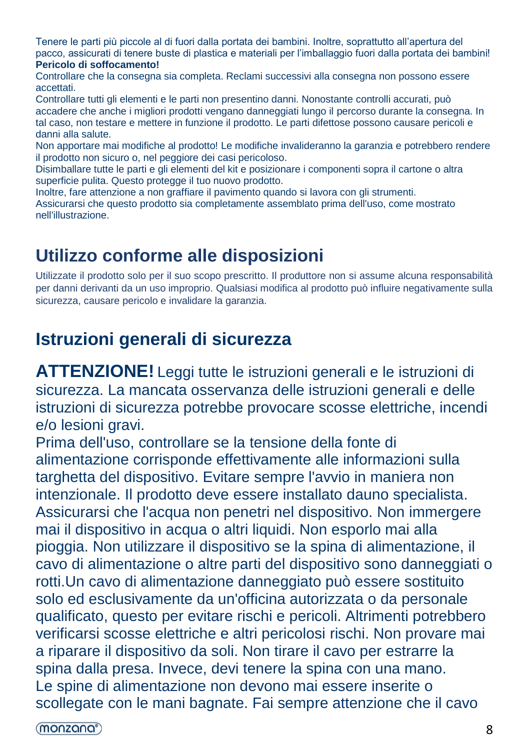Tenere le parti più piccole al di fuori dalla portata dei bambini. Inoltre, soprattutto all'apertura del pacco, assicurati di tenere buste di plastica e materiali per l'imballaggio fuori dalla portata dei bambini! **Pericolo di soffocamento!**

Controllare che la consegna sia completa. Reclami successivi alla consegna non possono essere accettati.

Controllare tutti gli elementi e le parti non presentino danni. Nonostante controlli accurati, può accadere che anche i migliori prodotti vengano danneggiati lungo il percorso durante la consegna. In tal caso, non testare e mettere in funzione il prodotto. Le parti difettose possono causare pericoli e danni alla salute.

Non apportare mai modifiche al prodotto! Le modifiche invalideranno la garanzia e potrebbero rendere il prodotto non sicuro o, nel peggiore dei casi pericoloso.

Disimballare tutte le parti e gli elementi del kit e posizionare i componenti sopra il cartone o altra superficie pulita. Questo protegge il tuo nuovo prodotto.

Inoltre, fare attenzione a non graffiare il pavimento quando si lavora con gli strumenti. Assicurarsi che questo prodotto sia completamente assemblato prima dell'uso, come mostrato nell'illustrazione.

# **Utilizzo conforme alle disposizioni**

Utilizzate il prodotto solo per il suo scopo prescritto. Il produttore non si assume alcuna responsabilità per danni derivanti da un uso improprio. Qualsiasi modifica al prodotto può influire negativamente sulla sicurezza, causare pericolo e invalidare la garanzia.

# **Istruzioni generali di sicurezza**

**ATTENZIONE!** Leggi tutte le istruzioni generali e le istruzioni di sicurezza. La mancata osservanza delle istruzioni generali e delle istruzioni di sicurezza potrebbe provocare scosse elettriche, incendi e/o lesioni gravi.

Prima dell'uso, controllare se la tensione della fonte di alimentazione corrisponde effettivamente alle informazioni sulla targhetta del dispositivo. Evitare sempre l'avvio in maniera non intenzionale. [Il](https://de.pons.com/%C3%BCbersetzung/italienisch-deutsch/Il) [prodotto](https://de.pons.com/%C3%BCbersetzung/italienisch-deutsch/prodotto) [deve](https://de.pons.com/%C3%BCbersetzung/italienisch-deutsch/deve) [essere](https://de.pons.com/%C3%BCbersetzung/italienisch-deutsch/essere) [installato](https://de.pons.com/%C3%BCbersetzung/italienisch-deutsch/installato) [dau](https://de.pons.com/%C3%BCbersetzung/italienisch-deutsch/da)[no](https://de.pons.com/%C3%BCbersetzung/italienisch-deutsch/no) [specialista.](https://de.pons.com/%C3%BCbersetzung/italienisch-deutsch/specialista) Assicurarsi che l'acqua non penetri nel dispositivo. Non immergere mai il dispositivo in acqua o altri liquidi. Non esporlo mai alla pioggia. Non utilizzare il dispositivo se la spina di alimentazione, il cavo di alimentazione o altre parti del dispositivo sono danneggiati o rotti.Un cavo di alimentazione danneggiato può essere sostituito solo ed esclusivamente da un'officina autorizzata o da personale qualificato, questo per evitare rischi e pericoli. Altrimenti potrebbero verificarsi scosse elettriche e altri pericolosi rischi. Non provare mai a riparare il dispositivo da soli. Non tirare il cavo per estrarre la spina dalla presa. Invece, devi tenere la spina con una mano. Le spine di alimentazione non devono mai essere inserite o scollegate con le mani bagnate. Fai sempre attenzione che il cavo

(monzana<sup>®</sup>)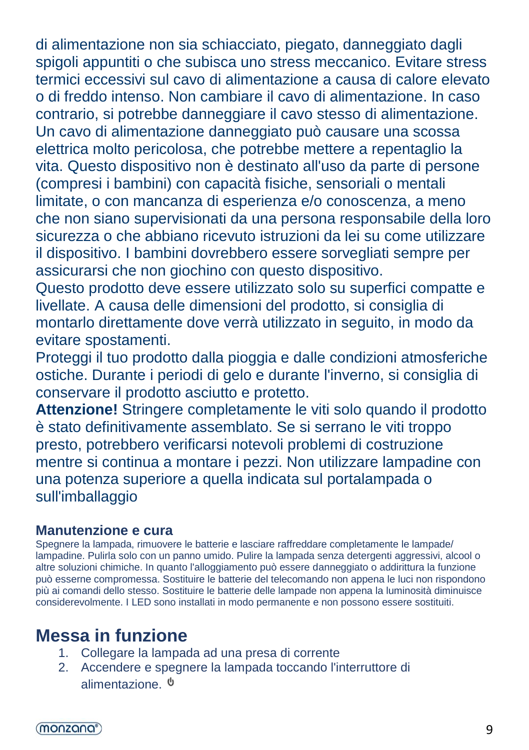di alimentazione non sia schiacciato, piegato, danneggiato dagli spigoli appuntiti o che subisca uno stress meccanico. Evitare stress termici eccessivi sul cavo di alimentazione a causa di calore elevato o di freddo intenso. Non cambiare il cavo di alimentazione. In caso contrario, si potrebbe danneggiare il cavo stesso di alimentazione. Un cavo di alimentazione danneggiato può causare una scossa elettrica molto pericolosa, che potrebbe mettere a repentaglio la vita. Questo dispositivo non è destinato all'uso da parte di persone (compresi i bambini) con capacità fisiche, sensoriali o mentali limitate, o con mancanza di esperienza e/o conoscenza, a meno che non siano supervisionati da una persona responsabile della loro sicurezza o che abbiano ricevuto istruzioni da lei su come utilizzare il dispositivo. I bambini dovrebbero essere sorvegliati sempre per assicurarsi che non giochino con questo dispositivo.

Questo prodotto deve essere utilizzato solo su superfici compatte e livellate. A causa delle dimensioni del prodotto, si consiglia di montarlo direttamente dove verrà utilizzato in seguito, in modo da evitare spostamenti.

Proteggi il tuo prodotto dalla pioggia e dalle condizioni atmosferiche ostiche. Durante i periodi di gelo e durante l'inverno, si consiglia di conservare il prodotto asciutto e protetto.

**Attenzione!** Stringere completamente le viti solo quando il prodotto è stato definitivamente assemblato. Se si serrano le viti troppo presto, potrebbero verificarsi notevoli problemi di costruzione mentre si continua a montare i pezzi. Non utilizzare lampadine con una potenza superiore a quella indicata sul portalampada o sull'imballaggio

### **Manutenzione e cura**

Spegnere la lampada, rimuovere le batterie e lasciare raffreddare completamente le lampade/ lampadine. Pulirla solo con un panno umido. Pulire la lampada senza detergenti aggressivi, alcool o altre soluzioni chimiche. In quanto l'alloggiamento può essere danneggiato o addirittura la funzione può esserne compromessa. Sostituire le batterie del telecomando non appena le luci non rispondono più ai comandi dello stesso. Sostituire le batterie delle lampade non appena la luminosità diminuisce considerevolmente. I LED sono installati in modo permanente e non possono essere sostituiti.

# **Messa in funzione**

- 1. Collegare la lampada ad una presa di corrente
- 2. Accendere e spegnere la lampada toccando l'interruttore di alimentazione.

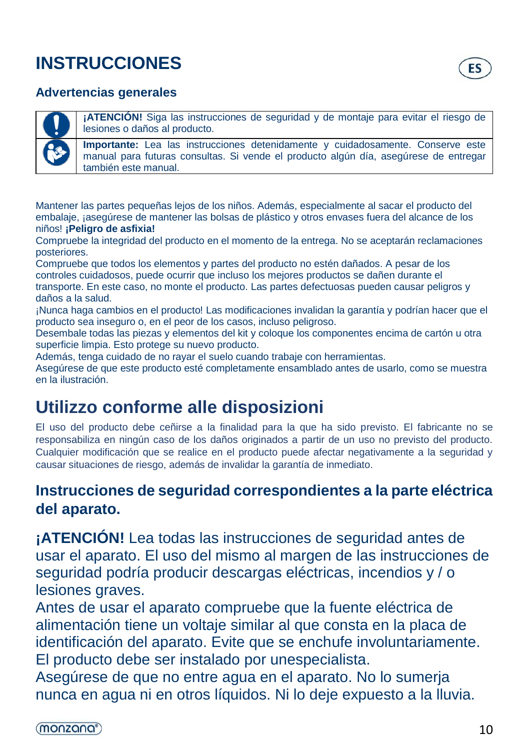# **INSTRUCCIONES**

#### **Advertencias generales**

**¡ATENCIÓN!** Siga las instrucciones de seguridad y de montaje para evitar el riesgo de lesiones o daños al producto.

**Importante:** Lea las instrucciones detenidamente y cuidadosamente. Conserve este manual para futuras consultas. Si vende el producto algún día, asegúrese de entregar también este manual.

Mantener las partes pequeñas lejos de los niños. Además, especialmente al sacar el producto del embalaje, jasegúrese de mantener las bolsas de plástico y otros envases fuera del alcance de los niños! **¡Peligro de asfixia!**

Compruebe la integridad del producto en el momento de la entrega. No se aceptarán reclamaciones posteriores.

Compruebe que todos los elementos y partes del producto no estén dañados. A pesar de los controles cuidadosos, puede ocurrir que incluso los mejores productos se dañen durante el transporte. En este caso, no monte el producto. Las partes defectuosas pueden causar peligros y

daños a la salud. ¡Nunca haga cambios en el producto! Las modificaciones invalidan la garantía y podrían hacer que el producto sea inseguro o, en el peor de los casos, incluso peligroso.

Desembale todas las piezas y elementos del kit y coloque los componentes encima de cartón u otra superficie limpia. Esto protege su nuevo producto.

Además, tenga cuidado de no rayar el suelo cuando trabaje con herramientas.

Asegúrese de que este producto esté completamente ensamblado antes de usarlo, como se muestra en la ilustración.

# **Utilizzo conforme alle disposizioni**

El uso del producto debe ceñirse a la finalidad para la que ha sido previsto. El fabricante no se responsabiliza en ningún caso de los daños originados a partir de un uso no previsto del producto. Cualquier modificación que se realice en el producto puede afectar negativamente a la seguridad y causar situaciones de riesgo, además de invalidar la garantía de inmediato.

## **Instrucciones de seguridad correspondientes a la parte eléctrica del aparato.**

**¡ATENCIÓN!** Lea todas las instrucciones de seguridad antes de usar el aparato. El uso del mismo al margen de las instrucciones de seguridad podría producir descargas eléctricas, incendios y / o lesiones graves.

Antes de usar el aparato compruebe que la fuente eléctrica de alimentación tiene un voltaje similar al que consta en la placa de identificación del aparato. Evite que se enchufe involuntariamente. [El](https://de.pons.com/%C3%BCbersetzung/spanisch-deutsch/El) [producto](https://de.pons.com/%C3%BCbersetzung/spanisch-deutsch/producto) [debe](https://de.pons.com/%C3%BCbersetzung/spanisch-deutsch/debe) [ser](https://de.pons.com/%C3%BCbersetzung/spanisch-deutsch/ser) [instalado](https://de.pons.com/%C3%BCbersetzung/spanisch-deutsch/instalado) [por](https://de.pons.com/%C3%BCbersetzung/spanisch-deutsch/por) [unespecialista.](https://de.pons.com/%C3%BCbersetzung/spanisch-deutsch/un)

Asegúrese de que no entre agua en el aparato. No lo sumerja nunca en agua ni en otros líquidos. Ni lo deje expuesto a la lluvia.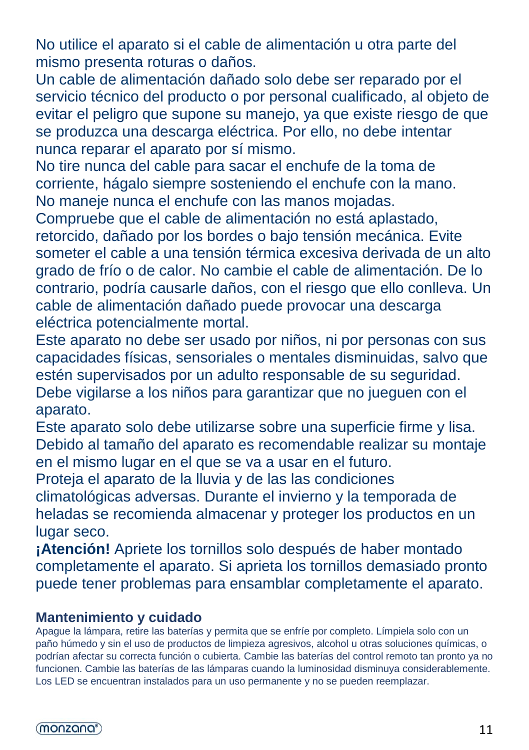No utilice el aparato si el cable de alimentación u otra parte del mismo presenta roturas o daños.

Un cable de alimentación dañado solo debe ser reparado por el servicio técnico del producto o por personal cualificado, al objeto de evitar el peligro que supone su manejo, ya que existe riesgo de que se produzca una descarga eléctrica. Por ello, no debe intentar nunca reparar el aparato por sí mismo.

No tire nunca del cable para sacar el enchufe de la toma de corriente, hágalo siempre sosteniendo el enchufe con la mano. No maneje nunca el enchufe con las manos mojadas.

Compruebe que el cable de alimentación no está aplastado, retorcido, dañado por los bordes o bajo tensión mecánica. Evite someter el cable a una tensión térmica excesiva derivada de un alto grado de frío o de calor. No cambie el cable de alimentación. De lo contrario, podría causarle daños, con el riesgo que ello conlleva. Un cable de alimentación dañado puede provocar una descarga eléctrica potencialmente mortal.

Este aparato no debe ser usado por niños, ni por personas con sus capacidades físicas, sensoriales o mentales disminuidas, salvo que estén supervisados por un adulto responsable de su seguridad. Debe vigilarse a los niños para garantizar que no jueguen con el aparato.

Este aparato solo debe utilizarse sobre una superficie firme y lisa. Debido al tamaño del aparato es recomendable realizar su montaje en el mismo lugar en el que se va a usar en el futuro.

Proteja el aparato de la lluvia y de las las condiciones

climatológicas adversas. Durante el invierno y la temporada de heladas se recomienda almacenar y proteger los productos en un lugar seco.

**¡Atención!** Apriete los tornillos solo después de haber montado completamente el aparato. Si aprieta los tornillos demasiado pronto puede tener problemas para ensamblar completamente el aparato.

#### **Mantenimiento y cuidado**

Apague la lámpara, retire las baterías y permita que se enfríe por completo. Límpiela solo con un paño húmedo y sin el uso de productos de limpieza agresivos, alcohol u otras soluciones químicas, o podrían afectar su correcta función o cubierta. Cambie las baterías del control remoto tan pronto ya no funcionen. Cambie las baterías de las lámparas cuando la luminosidad disminuya considerablemente. Los LED se encuentran instalados para un uso permanente y no se pueden reemplazar.